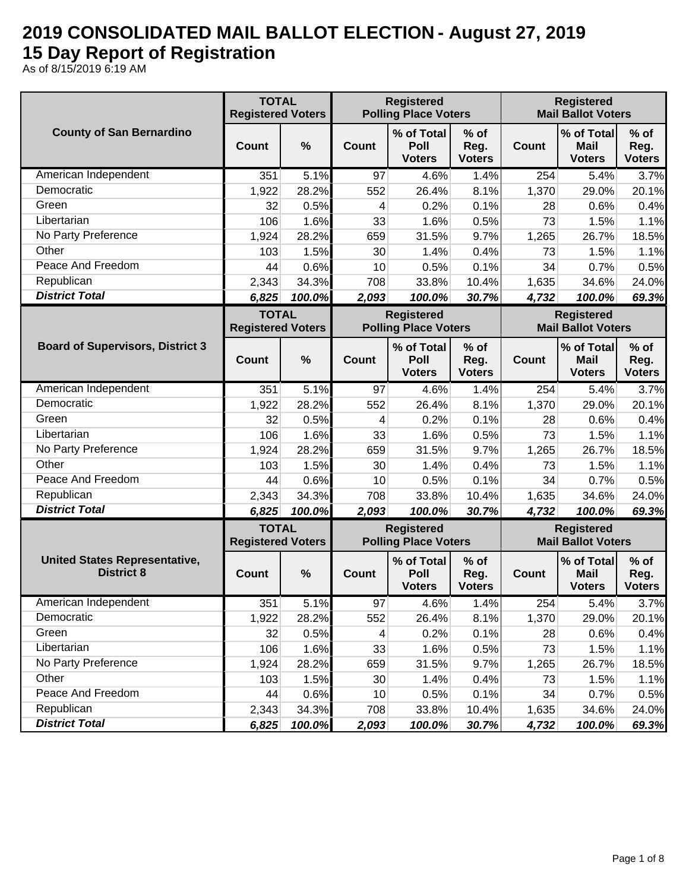## **2019 CONSOLIDATED MAIL BALLOT ELECTION - August 27, 2019 15 Day Report of Registration**

As of 8/15/2019 6:19 AM

|                                                           | <b>TOTAL</b><br><b>Registered Voters</b> |        |              | <b>Registered</b><br><b>Polling Place Voters</b> |                                 |              | <b>Registered</b><br><b>Mail Ballot Voters</b> |                                 |
|-----------------------------------------------------------|------------------------------------------|--------|--------------|--------------------------------------------------|---------------------------------|--------------|------------------------------------------------|---------------------------------|
| <b>County of San Bernardino</b>                           | Count                                    | %      | Count        | % of Total<br>Poll<br><b>Voters</b>              | $%$ of<br>Reg.<br><b>Voters</b> | Count        | % of Total<br><b>Mail</b><br><b>Voters</b>     | $%$ of<br>Reg.<br><b>Voters</b> |
| American Independent                                      | 351                                      | 5.1%   | 97           | 4.6%                                             | 1.4%                            | 254          | 5.4%                                           | 3.7%                            |
| Democratic                                                | 1,922                                    | 28.2%  | 552          | 26.4%                                            | 8.1%                            | 1,370        | 29.0%                                          | 20.1%                           |
| Green                                                     | 32                                       | 0.5%   | 4            | 0.2%                                             | 0.1%                            | 28           | 0.6%                                           | 0.4%                            |
| Libertarian                                               | 106                                      | 1.6%   | 33           | 1.6%                                             | 0.5%                            | 73           | 1.5%                                           | 1.1%                            |
| No Party Preference                                       | 1,924                                    | 28.2%  | 659          | 31.5%                                            | 9.7%                            | 1,265        | 26.7%                                          | 18.5%                           |
| Other                                                     | 103                                      | 1.5%   | 30           | 1.4%                                             | 0.4%                            | 73           | 1.5%                                           | 1.1%                            |
| Peace And Freedom                                         | 44                                       | 0.6%   | 10           | 0.5%                                             | 0.1%                            | 34           | 0.7%                                           | 0.5%                            |
| Republican                                                | 2,343                                    | 34.3%  | 708          | 33.8%                                            | 10.4%                           | 1,635        | 34.6%                                          | 24.0%                           |
| <b>District Total</b>                                     | 6,825                                    | 100.0% | 2,093        | 100.0%                                           | 30.7%                           | 4,732        | 100.0%                                         | 69.3%                           |
|                                                           | <b>TOTAL</b><br><b>Registered Voters</b> |        |              | <b>Registered</b><br><b>Polling Place Voters</b> |                                 |              | <b>Registered</b><br><b>Mail Ballot Voters</b> |                                 |
| <b>Board of Supervisors, District 3</b>                   | Count                                    | %      | Count        | % of Total<br>Poll<br><b>Voters</b>              | $%$ of<br>Reg.<br><b>Voters</b> | <b>Count</b> | % of Total<br><b>Mail</b><br><b>Voters</b>     | $%$ of<br>Reg.<br><b>Voters</b> |
| American Independent                                      | 351                                      | 5.1%   | 97           | 4.6%                                             | 1.4%                            | 254          | 5.4%                                           | 3.7%                            |
| Democratic                                                | 1,922                                    | 28.2%  | 552          | 26.4%                                            | 8.1%                            | 1,370        | 29.0%                                          | 20.1%                           |
| Green                                                     | 32                                       | 0.5%   | 4            | 0.2%                                             | 0.1%                            | 28           | 0.6%                                           | 0.4%                            |
| Libertarian                                               | 106                                      | 1.6%   | 33           | 1.6%                                             | 0.5%                            | 73           | 1.5%                                           | 1.1%                            |
| No Party Preference                                       | 1,924                                    | 28.2%  | 659          | 31.5%                                            | 9.7%                            | 1,265        | 26.7%                                          | 18.5%                           |
| Other                                                     | 103                                      | 1.5%   | 30           | 1.4%                                             | 0.4%                            | 73           | 1.5%                                           | 1.1%                            |
| Peace And Freedom                                         | 44                                       | 0.6%   | 10           | 0.5%                                             | 0.1%                            | 34           | 0.7%                                           | 0.5%                            |
| Republican                                                | 2,343                                    | 34.3%  | 708          | 33.8%                                            | 10.4%                           | 1,635        | 34.6%                                          | 24.0%                           |
| <b>District Total</b>                                     | 6,825                                    | 100.0% | 2,093        | 100.0%                                           | 30.7%                           | 4,732        | 100.0%                                         | 69.3%                           |
|                                                           | <b>TOTAL</b><br><b>Registered Voters</b> |        |              | <b>Registered</b><br><b>Polling Place Voters</b> |                                 |              | <b>Registered</b><br><b>Mail Ballot Voters</b> |                                 |
| <b>United States Representative,</b><br><b>District 8</b> | Count                                    | %      | <b>Count</b> | % of Total<br>Poll<br><b>Voters</b>              | $%$ of<br>Reg.<br><b>Voters</b> | Count        | % of Total<br><b>Mail</b><br><b>Voters</b>     | $%$ of<br>Reg.<br><b>Voters</b> |
| American Independent                                      | 351                                      | 5.1%   | 97           | 4.6%                                             | 1.4%                            | 254          | 5.4%                                           | 3.7%                            |
| Democratic                                                | 1,922                                    | 28.2%  | 552          | 26.4%                                            | 8.1%                            | 1,370        | 29.0%                                          | 20.1%                           |
| Green                                                     | 32                                       | 0.5%   | 4            | 0.2%                                             | 0.1%                            | 28           | 0.6%                                           | 0.4%                            |
| Libertarian                                               | 106                                      | 1.6%   | 33           | 1.6%                                             | 0.5%                            | 73           | 1.5%                                           | 1.1%                            |
| No Party Preference                                       | 1,924                                    | 28.2%  | 659          | 31.5%                                            | 9.7%                            | 1,265        | 26.7%                                          | 18.5%                           |
| Other                                                     | 103                                      | 1.5%   | 30           | 1.4%                                             | 0.4%                            | 73           | 1.5%                                           | 1.1%                            |
| Peace And Freedom                                         | 44                                       | 0.6%   | 10           | 0.5%                                             | 0.1%                            | 34           | 0.7%                                           | 0.5%                            |
| Republican                                                | 2,343                                    | 34.3%  | 708          | 33.8%                                            | 10.4%                           | 1,635        | 34.6%                                          | 24.0%                           |
| <b>District Total</b>                                     | 6,825                                    | 100.0% | 2,093        | 100.0%                                           | 30.7%                           | 4,732        | 100.0%                                         | 69.3%                           |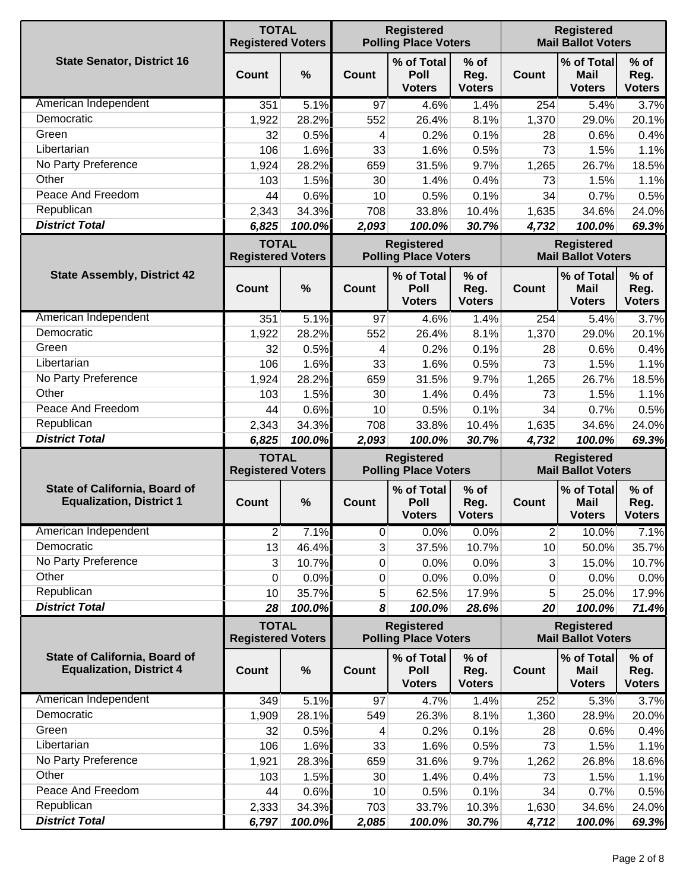|                                                                         | <b>TOTAL</b><br><b>Registered Voters</b> |                 |                                                  | <b>Registered</b><br><b>Polling Place Voters</b> |                                 |                | <b>Registered</b><br><b>Mail Ballot Voters</b> |                                 |
|-------------------------------------------------------------------------|------------------------------------------|-----------------|--------------------------------------------------|--------------------------------------------------|---------------------------------|----------------|------------------------------------------------|---------------------------------|
| <b>State Senator, District 16</b>                                       | Count                                    | $\frac{0}{0}$   | Count                                            | % of Total<br>Poll<br><b>Voters</b>              | $%$ of<br>Reg.<br><b>Voters</b> | <b>Count</b>   | % of Total<br><b>Mail</b><br><b>Voters</b>     | $%$ of<br>Reg.<br><b>Voters</b> |
| American Independent                                                    | 351                                      | 5.1%            | 97                                               | 4.6%                                             | 1.4%                            | 254            | 5.4%                                           | 3.7%                            |
| Democratic                                                              | 1,922                                    | 28.2%           | 552                                              | 26.4%                                            | 8.1%                            | 1,370          | 29.0%                                          | 20.1%                           |
| Green                                                                   | 32                                       | 0.5%            | 4                                                | 0.2%                                             | 0.1%                            | 28             | 0.6%                                           | 0.4%                            |
| Libertarian                                                             | 106                                      | 1.6%            | 33                                               | 1.6%                                             | 0.5%                            | 73             | 1.5%                                           | 1.1%                            |
| No Party Preference                                                     | 1,924                                    | 28.2%           | 659                                              | 31.5%                                            | 9.7%                            | 1,265          | 26.7%                                          | 18.5%                           |
| Other                                                                   | 103                                      | 1.5%            | 30                                               | 1.4%                                             | 0.4%                            | 73             | 1.5%                                           | 1.1%                            |
| Peace And Freedom                                                       | 44                                       | 0.6%            | 10                                               | 0.5%                                             | 0.1%                            | 34             | 0.7%                                           | 0.5%                            |
| Republican                                                              | 2,343                                    | 34.3%           | 708                                              | 33.8%                                            | 10.4%                           | 1,635          | 34.6%                                          | 24.0%                           |
| <b>District Total</b>                                                   | 6,825                                    | 100.0%          | 2,093                                            | 100.0%                                           | 30.7%                           | 4,732          | 100.0%                                         | 69.3%                           |
|                                                                         | <b>TOTAL</b><br><b>Registered Voters</b> |                 |                                                  | <b>Registered</b><br><b>Polling Place Voters</b> |                                 |                | <b>Registered</b><br><b>Mail Ballot Voters</b> |                                 |
| <b>State Assembly, District 42</b>                                      | Count                                    | $\frac{0}{0}$   | Count                                            | % of Total<br>Poll<br><b>Voters</b>              | $%$ of<br>Reg.<br><b>Voters</b> | <b>Count</b>   | % of Total<br><b>Mail</b><br><b>Voters</b>     | $%$ of<br>Reg.<br><b>Voters</b> |
| American Independent                                                    | 351                                      | 5.1%            | 97                                               | 4.6%                                             | 1.4%                            | 254            | 5.4%                                           | 3.7%                            |
| Democratic                                                              | 1,922                                    | 28.2%           | 552                                              | 26.4%                                            | 8.1%                            | 1,370          | 29.0%                                          | 20.1%                           |
| Green                                                                   | 32                                       | 0.5%            | 4                                                | 0.2%                                             | 0.1%                            | 28             | 0.6%                                           | 0.4%                            |
| Libertarian                                                             | 106                                      | 1.6%            | 33                                               | 1.6%                                             | 0.5%                            | 73             | 1.5%                                           | 1.1%                            |
| No Party Preference                                                     | 1,924                                    | 28.2%           | 659                                              | 31.5%                                            | 9.7%                            | 1,265          | 26.7%                                          | 18.5%                           |
| Other                                                                   | 103                                      | 1.5%            | 30                                               | 1.4%                                             | 0.4%                            | 73             | 1.5%                                           | 1.1%                            |
| Peace And Freedom                                                       | 44                                       | 0.6%            | 10                                               | 0.5%                                             | 0.1%                            | 34             | 0.7%                                           | 0.5%                            |
| Republican                                                              | 2,343                                    | 34.3%           | 708                                              | 33.8%                                            | 10.4%                           | 1,635          | 34.6%                                          | 24.0%                           |
| <b>District Total</b>                                                   | 6,825                                    | 100.0%          | 2,093                                            | 100.0%                                           | 30.7%                           | 4,732          | 100.0%                                         | 69.3%                           |
|                                                                         | <b>TOTAL</b><br><b>Registered Voters</b> |                 | <b>Registered</b><br><b>Polling Place Voters</b> |                                                  |                                 |                | <b>Registered</b><br><b>Mail Ballot Voters</b> |                                 |
| <b>State of California, Board of</b><br><b>Equalization, District 1</b> | Count                                    | %               | Count                                            | % of Total<br>Poll<br><b>Voters</b>              | $%$ of<br>Reg.<br><b>Voters</b> | <b>Count</b>   | % of Total<br><b>Mail</b><br><b>Voters</b>     | $%$ of<br>Reg.<br><b>Voters</b> |
| American Independent                                                    | $\overline{\mathbf{c}}$                  | 7.1%            | $\pmb{0}$                                        | 0.0%                                             | 0.0%                            | $\overline{c}$ | 10.0%                                          | 7.1%                            |
| Democratic                                                              | 13                                       | 46.4%           | 3                                                | 37.5%                                            | 10.7%                           | 10             | 50.0%                                          | 35.7%                           |
| No Party Preference                                                     | 3                                        | 10.7%           | 0                                                | 0.0%                                             | 0.0%                            | 3              | 15.0%                                          | 10.7%                           |
| Other                                                                   | 0                                        | 0.0%            | 0                                                | 0.0%                                             | 0.0%                            | 0              | 0.0%                                           | 0.0%                            |
| Republican                                                              | 10                                       | 35.7%           | 5                                                | 62.5%                                            | 17.9%                           | 5              | 25.0%                                          | 17.9%                           |
| <b>District Total</b>                                                   | 28                                       | 100.0%          | 8                                                | 100.0%                                           | 28.6%                           | 20             | 100.0%                                         | 71.4%                           |
|                                                                         | <b>TOTAL</b><br><b>Registered Voters</b> |                 |                                                  | <b>Registered</b><br><b>Polling Place Voters</b> |                                 |                | <b>Registered</b><br><b>Mail Ballot Voters</b> |                                 |
| <b>State of California, Board of</b><br><b>Equalization, District 4</b> | <b>Count</b>                             | $\%$            | Count                                            | % of Total<br>Poll<br><b>Voters</b>              | $%$ of<br>Reg.<br><b>Voters</b> | Count          | % of Total<br><b>Mail</b><br><b>Voters</b>     | $%$ of<br>Reg.<br><b>Voters</b> |
| American Independent                                                    | 349                                      | 5.1%            | 97                                               | 4.7%                                             | 1.4%                            | 252            | 5.3%                                           | 3.7%                            |
| Democratic                                                              | 1,909                                    | 28.1%           | 549                                              | 26.3%                                            | 8.1%                            | 1,360          | 28.9%                                          | 20.0%                           |
| Green                                                                   | 32                                       | 0.5%            | 4                                                | 0.2%                                             | 0.1%                            | 28             | 0.6%                                           | 0.4%                            |
| Libertarian                                                             | 106                                      | 1.6%            | 33                                               | 1.6%                                             | 0.5%                            | 73             | 1.5%                                           | 1.1%                            |
| No Party Preference                                                     | 1,921                                    | 28.3%           | 659                                              | 31.6%                                            | 9.7%                            | 1,262          | 26.8%                                          | 18.6%                           |
| Other                                                                   | 103                                      | 1.5%            | 30                                               | 1.4%                                             | 0.4%                            | 73             | 1.5%                                           | 1.1%                            |
| Peace And Freedom                                                       | 44                                       | 0.6%            | 10                                               | 0.5%                                             | 0.1%                            | 34             | 0.7%                                           | 0.5%                            |
| Republican<br><b>District Total</b>                                     | 2,333<br>6,797                           | 34.3%<br>100.0% | 703<br>2,085                                     | 33.7%<br>100.0%                                  | 10.3%<br>30.7%                  | 1,630<br>4,712 | 34.6%<br>100.0%                                | 24.0%<br>69.3%                  |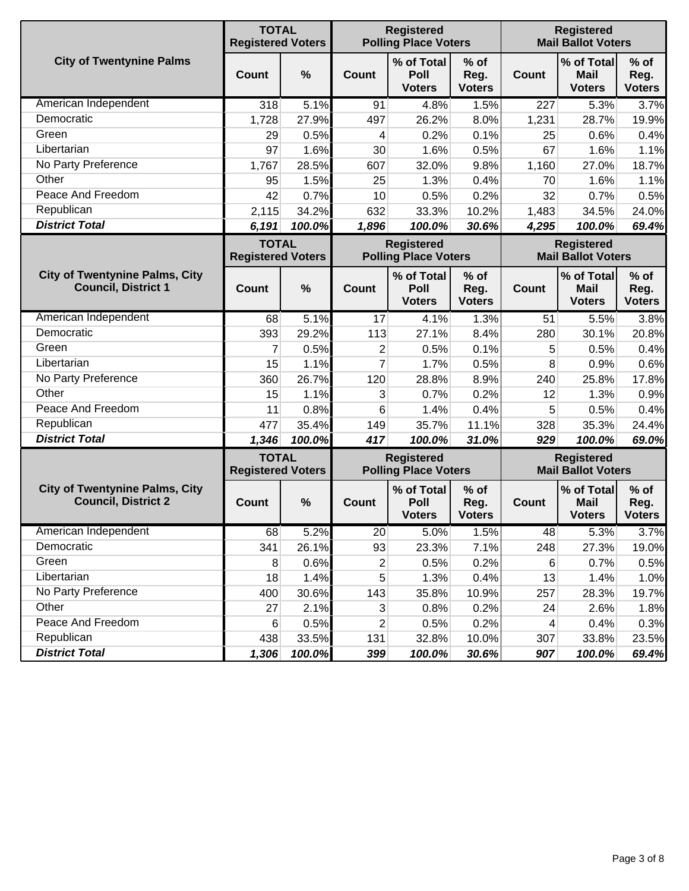|                                                                     | <b>TOTAL</b><br><b>Registered Voters</b> |               |                         | <b>Registered</b><br><b>Polling Place Voters</b> |                                 |                                                | <b>Registered</b><br><b>Mail Ballot Voters</b> |                                 |
|---------------------------------------------------------------------|------------------------------------------|---------------|-------------------------|--------------------------------------------------|---------------------------------|------------------------------------------------|------------------------------------------------|---------------------------------|
| <b>City of Twentynine Palms</b>                                     | <b>Count</b>                             | $\frac{0}{0}$ | <b>Count</b>            | % of Total<br>Poll<br><b>Voters</b>              | $%$ of<br>Reg.<br><b>Voters</b> | Count                                          | % of Total<br><b>Mail</b><br><b>Voters</b>     | $%$ of<br>Reg.<br><b>Voters</b> |
| American Independent                                                | 318                                      | 5.1%          | 91                      | 4.8%                                             | 1.5%                            | 227                                            | 5.3%                                           | 3.7%                            |
| Democratic                                                          | 1,728                                    | 27.9%         | 497                     | 26.2%                                            | 8.0%                            | 1,231                                          | 28.7%                                          | 19.9%                           |
| Green                                                               | 29                                       | 0.5%          | 4                       | 0.2%                                             | 0.1%                            | 25                                             | 0.6%                                           | 0.4%                            |
| Libertarian                                                         | 97                                       | 1.6%          | 30                      | 1.6%                                             | 0.5%                            | 67                                             | 1.6%                                           | 1.1%                            |
| No Party Preference                                                 | 1,767                                    | 28.5%         | 607                     | 32.0%                                            | 9.8%                            | 1,160                                          | 27.0%                                          | 18.7%                           |
| Other                                                               | 95                                       | 1.5%          | 25                      | 1.3%                                             | 0.4%                            | 70                                             | 1.6%                                           | 1.1%                            |
| Peace And Freedom                                                   | 42                                       | 0.7%          | 10                      | 0.5%                                             | 0.2%                            | 32                                             | 0.7%                                           | 0.5%                            |
| Republican                                                          | 2,115                                    | 34.2%         | 632                     | 33.3%                                            | 10.2%                           | 1,483                                          | 34.5%                                          | 24.0%                           |
| <b>District Total</b>                                               | 6,191                                    | 100.0%        | 1,896                   | 100.0%                                           | 30.6%                           | 4,295                                          | 100.0%                                         | 69.4%                           |
|                                                                     | <b>TOTAL</b><br><b>Registered Voters</b> |               |                         | <b>Registered</b><br><b>Polling Place Voters</b> |                                 | <b>Registered</b><br><b>Mail Ballot Voters</b> |                                                |                                 |
| <b>City of Twentynine Palms, City</b><br><b>Council, District 1</b> | <b>Count</b>                             | $\frac{0}{0}$ | Count                   | % of Total<br>Poll<br><b>Voters</b>              | $%$ of<br>Reg.<br><b>Voters</b> | <b>Count</b>                                   | % of Total<br><b>Mail</b><br><b>Voters</b>     | $%$ of<br>Reg.<br><b>Voters</b> |
| American Independent                                                | 68                                       | 5.1%          | 17                      | 4.1%                                             | 1.3%                            | 51                                             | 5.5%                                           | 3.8%                            |
| Democratic                                                          | 393                                      | 29.2%         | 113                     | 27.1%                                            | 8.4%                            | 280                                            | 30.1%                                          | 20.8%                           |
| Green                                                               | 7                                        | 0.5%          | 2                       | 0.5%                                             | 0.1%                            | 5                                              | 0.5%                                           | 0.4%                            |
| Libertarian                                                         | 15                                       | 1.1%          | 7                       | 1.7%                                             | 0.5%                            | 8                                              | 0.9%                                           | 0.6%                            |
| No Party Preference                                                 | 360                                      | 26.7%         | 120                     | 28.8%                                            | 8.9%                            | 240                                            | 25.8%                                          | 17.8%                           |
| Other                                                               | 15                                       | 1.1%          | 3                       | 0.7%                                             | 0.2%                            | 12                                             | 1.3%                                           | 0.9%                            |
| Peace And Freedom                                                   | 11                                       | 0.8%          | 6                       | 1.4%                                             | 0.4%                            | 5                                              | 0.5%                                           | 0.4%                            |
| Republican                                                          | 477                                      | 35.4%         | 149                     | 35.7%                                            | 11.1%                           | 328                                            | 35.3%                                          | 24.4%                           |
| <b>District Total</b>                                               | 1,346                                    | 100.0%        | 417                     | 100.0%                                           | 31.0%                           | 929                                            | 100.0%                                         | 69.0%                           |
|                                                                     | <b>TOTAL</b><br><b>Registered Voters</b> |               |                         | <b>Registered</b><br><b>Polling Place Voters</b> |                                 | <b>Registered</b><br><b>Mail Ballot Voters</b> |                                                |                                 |
| <b>City of Twentynine Palms, City</b><br><b>Council, District 2</b> | Count                                    | $\frac{0}{0}$ | Count                   | % of Total<br>Poll<br><b>Voters</b>              | $%$ of<br>Reg.<br><b>Voters</b> | <b>Count</b>                                   | % of Total<br><b>Mail</b><br><b>Voters</b>     | $%$ of<br>Reg.<br><b>Voters</b> |
| American Independent                                                | 68                                       | 5.2%          | 20                      | 5.0%                                             | 1.5%                            | 48                                             | 5.3%                                           | 3.7%                            |
| Democratic                                                          | 341                                      | 26.1%         | 93                      | 23.3%                                            | 7.1%                            | 248                                            | 27.3%                                          | 19.0%                           |
| Green                                                               | 8                                        | 0.6%          | $\overline{\mathbf{c}}$ | 0.5%                                             | 0.2%                            | 6                                              | 0.7%                                           | 0.5%                            |
| Libertarian                                                         | 18                                       | 1.4%          | 5                       | 1.3%                                             | 0.4%                            | 13                                             | 1.4%                                           | 1.0%                            |
| No Party Preference                                                 | 400                                      | 30.6%         | 143                     | 35.8%                                            | 10.9%                           | 257                                            | 28.3%                                          | 19.7%                           |
| Other                                                               | 27                                       | 2.1%          | 3                       | 0.8%                                             | 0.2%                            | 24                                             | 2.6%                                           | 1.8%                            |
| Peace And Freedom                                                   | 6                                        | 0.5%          | 2                       | 0.5%                                             | 0.2%                            | 4                                              | 0.4%                                           | 0.3%                            |
| Republican                                                          | 438                                      | 33.5%         | 131                     | 32.8%                                            | 10.0%                           | 307                                            | 33.8%                                          | 23.5%                           |
| <b>District Total</b>                                               | 1,306                                    | 100.0%        | 399                     | 100.0%                                           | 30.6%                           | 907                                            | 100.0%                                         | 69.4%                           |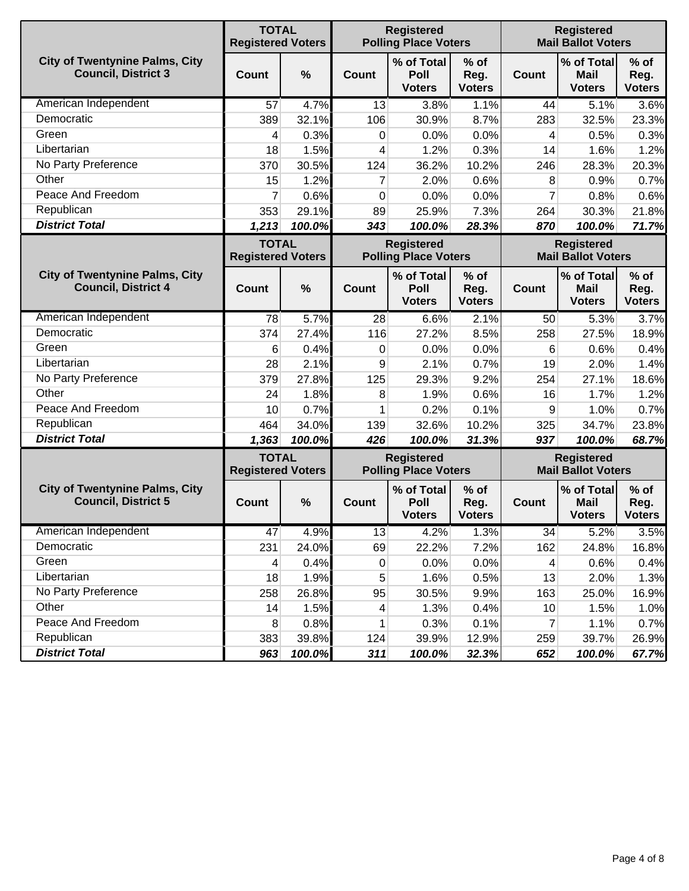|                                                                     | <b>TOTAL</b><br><b>Registered Voters</b> |        |                  | <b>Registered</b><br><b>Polling Place Voters</b> |                                 | <b>Registered</b><br><b>Mail Ballot Voters</b> |                                                |                                 |  |
|---------------------------------------------------------------------|------------------------------------------|--------|------------------|--------------------------------------------------|---------------------------------|------------------------------------------------|------------------------------------------------|---------------------------------|--|
| <b>City of Twentynine Palms, City</b><br><b>Council, District 3</b> | Count                                    | %      | <b>Count</b>     | % of Total<br>Poll<br><b>Voters</b>              | $%$ of<br>Reg.<br><b>Voters</b> | Count                                          | % of Total<br><b>Mail</b><br><b>Voters</b>     | $%$ of<br>Reg.<br><b>Voters</b> |  |
| American Independent                                                | 57                                       | 4.7%   | 13               | 3.8%                                             | 1.1%                            | 44                                             | 5.1%                                           | 3.6%                            |  |
| Democratic                                                          | 389                                      | 32.1%  | 106              | 30.9%                                            | 8.7%                            | 283                                            | 32.5%                                          | 23.3%                           |  |
| Green                                                               | 4                                        | 0.3%   | 0                | 0.0%                                             | 0.0%                            | 4                                              | 0.5%                                           | 0.3%                            |  |
| Libertarian                                                         | 18                                       | 1.5%   | 4                | 1.2%                                             | 0.3%                            | 14                                             | 1.6%                                           | 1.2%                            |  |
| No Party Preference                                                 | 370                                      | 30.5%  | 124              | 36.2%                                            | 10.2%                           | 246                                            | 28.3%                                          | 20.3%                           |  |
| Other                                                               | 15                                       | 1.2%   | $\overline{7}$   | 2.0%                                             | 0.6%                            | 8                                              | 0.9%                                           | 0.7%                            |  |
| Peace And Freedom                                                   | 7                                        | 0.6%   | 0                | 0.0%                                             | 0.0%                            | 7                                              | 0.8%                                           | 0.6%                            |  |
| Republican                                                          | 353                                      | 29.1%  | 89               | 25.9%                                            | 7.3%                            | 264                                            | 30.3%                                          | 21.8%                           |  |
| <b>District Total</b>                                               | 1,213                                    | 100.0% | 343              | 100.0%                                           | 28.3%                           | 870                                            | 100.0%                                         | 71.7%                           |  |
|                                                                     | <b>TOTAL</b><br><b>Registered Voters</b> |        |                  | <b>Registered</b><br><b>Polling Place Voters</b> |                                 | <b>Registered</b><br><b>Mail Ballot Voters</b> |                                                |                                 |  |
| <b>City of Twentynine Palms, City</b><br><b>Council, District 4</b> | <b>Count</b>                             | %      | Count            | % of Total<br>Poll<br><b>Voters</b>              | $%$ of<br>Reg.<br><b>Voters</b> | Count                                          | % of Total<br><b>Mail</b><br><b>Voters</b>     | $%$ of<br>Reg.<br><b>Voters</b> |  |
| American Independent                                                | 78                                       | 5.7%   | 28               | 6.6%                                             | 2.1%                            | 50                                             | 5.3%                                           | 3.7%                            |  |
| Democratic                                                          | 374                                      | 27.4%  | 116              | 27.2%                                            | 8.5%                            | 258                                            | 27.5%                                          | 18.9%                           |  |
| Green                                                               | 6                                        | 0.4%   | 0                | 0.0%                                             | 0.0%                            | 6                                              | 0.6%                                           | 0.4%                            |  |
| Libertarian                                                         | 28                                       | 2.1%   | 9                | 2.1%                                             | 0.7%                            | 19                                             | 2.0%                                           | 1.4%                            |  |
| No Party Preference                                                 | 379                                      | 27.8%  | 125              | 29.3%                                            | 9.2%                            | 254                                            | 27.1%                                          | 18.6%                           |  |
| Other                                                               | 24                                       | 1.8%   | 8                | 1.9%                                             | 0.6%                            | 16                                             | 1.7%                                           | 1.2%                            |  |
| Peace And Freedom                                                   | 10                                       | 0.7%   | 1                | 0.2%                                             | 0.1%                            | 9                                              | 1.0%                                           | 0.7%                            |  |
| Republican                                                          | 464                                      | 34.0%  | 139              | 32.6%                                            | 10.2%                           | 325                                            | 34.7%                                          | 23.8%                           |  |
| <b>District Total</b>                                               | 1,363                                    | 100.0% | 426              | 100.0%                                           | 31.3%                           | 937                                            | 100.0%                                         | 68.7%                           |  |
|                                                                     | <b>TOTAL</b><br><b>Registered Voters</b> |        |                  | <b>Registered</b><br><b>Polling Place Voters</b> |                                 |                                                | <b>Registered</b><br><b>Mail Ballot Voters</b> |                                 |  |
| <b>City of Twentynine Palms, City</b><br><b>Council, District 5</b> | Count                                    | %      | <b>Count</b>     | % of Total<br>Poll<br><b>Voters</b>              | $%$ of<br>Reg.<br><b>Voters</b> | <b>Count</b>                                   | % of Total<br><b>Mail</b><br><b>Voters</b>     | $%$ of<br>Reg.<br><b>Voters</b> |  |
| American Independent                                                | 47                                       | 4.9%   | 13               | 4.2%                                             | 1.3%                            | 34                                             | 5.2%                                           | 3.5%                            |  |
| Democratic                                                          | 231                                      | 24.0%  | 69               | 22.2%                                            | 7.2%                            | 162                                            | 24.8%                                          | 16.8%                           |  |
| Green                                                               | 4                                        | 0.4%   | $\boldsymbol{0}$ | 0.0%                                             | 0.0%                            | 4                                              | 0.6%                                           | 0.4%                            |  |
| Libertarian                                                         | 18                                       | 1.9%   | 5                | 1.6%                                             | 0.5%                            | 13                                             | 2.0%                                           | 1.3%                            |  |
| No Party Preference                                                 | 258                                      | 26.8%  | 95               | 30.5%                                            | 9.9%                            | 163                                            | 25.0%                                          | 16.9%                           |  |
| Other                                                               | 14                                       | 1.5%   | 4                | 1.3%                                             | 0.4%                            | 10                                             | 1.5%                                           | 1.0%                            |  |
| Peace And Freedom                                                   | 8                                        | 0.8%   | 1                | 0.3%                                             | 0.1%                            | $\overline{7}$                                 | 1.1%                                           | 0.7%                            |  |
| Republican                                                          | 383                                      | 39.8%  | 124              | 39.9%                                            | 12.9%                           | 259                                            | 39.7%                                          | 26.9%                           |  |
| <b>District Total</b>                                               | 963                                      | 100.0% | 311              | 100.0%                                           | 32.3%                           | 652                                            | 100.0%                                         | 67.7%                           |  |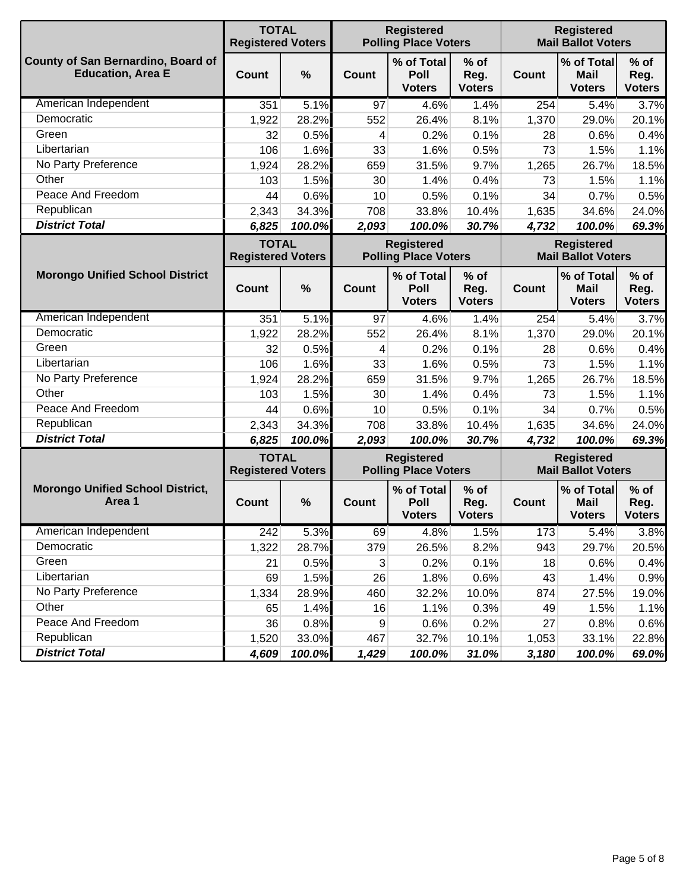|                                                                | <b>TOTAL</b><br><b>Registered Voters</b> |        |       | <b>Registered</b><br><b>Polling Place Voters</b> |                                 | <b>Registered</b><br><b>Mail Ballot Voters</b> |                                            |                                 |
|----------------------------------------------------------------|------------------------------------------|--------|-------|--------------------------------------------------|---------------------------------|------------------------------------------------|--------------------------------------------|---------------------------------|
| County of San Bernardino, Board of<br><b>Education, Area E</b> | <b>Count</b>                             | %      | Count | % of Total<br>Poll<br><b>Voters</b>              | $%$ of<br>Reg.<br><b>Voters</b> | <b>Count</b>                                   | % of Total<br><b>Mail</b><br><b>Voters</b> | $%$ of<br>Reg.<br><b>Voters</b> |
| American Independent                                           | 351                                      | 5.1%   | 97    | 4.6%                                             | 1.4%                            | 254                                            | 5.4%                                       | 3.7%                            |
| Democratic                                                     | 1,922                                    | 28.2%  | 552   | 26.4%                                            | 8.1%                            | 1,370                                          | 29.0%                                      | 20.1%                           |
| Green                                                          | 32                                       | 0.5%   | 4     | 0.2%                                             | 0.1%                            | 28                                             | 0.6%                                       | 0.4%                            |
| Libertarian                                                    | 106                                      | 1.6%   | 33    | 1.6%                                             | 0.5%                            | 73                                             | 1.5%                                       | 1.1%                            |
| No Party Preference                                            | 1,924                                    | 28.2%  | 659   | 31.5%                                            | 9.7%                            | 1,265                                          | 26.7%                                      | 18.5%                           |
| Other                                                          | 103                                      | 1.5%   | 30    | 1.4%                                             | 0.4%                            | 73                                             | 1.5%                                       | 1.1%                            |
| Peace And Freedom                                              | 44                                       | 0.6%   | 10    | 0.5%                                             | 0.1%                            | 34                                             | 0.7%                                       | 0.5%                            |
| Republican                                                     | 2,343                                    | 34.3%  | 708   | 33.8%                                            | 10.4%                           | 1,635                                          | 34.6%                                      | 24.0%                           |
| <b>District Total</b>                                          | 6,825                                    | 100.0% | 2,093 | 100.0%                                           | 30.7%                           | 4,732                                          | 100.0%                                     | 69.3%                           |
|                                                                | <b>TOTAL</b><br><b>Registered Voters</b> |        |       | <b>Registered</b><br><b>Polling Place Voters</b> |                                 | <b>Registered</b><br><b>Mail Ballot Voters</b> |                                            |                                 |
| <b>Morongo Unified School District</b>                         | <b>Count</b>                             | %      | Count | % of Total<br>Poll<br><b>Voters</b>              | $%$ of<br>Reg.<br><b>Voters</b> | <b>Count</b>                                   | % of Total<br><b>Mail</b><br><b>Voters</b> | $%$ of<br>Reg.<br><b>Voters</b> |
| American Independent                                           | 351                                      | 5.1%   | 97    | 4.6%                                             | 1.4%                            | 254                                            | 5.4%                                       | 3.7%                            |
| Democratic                                                     | 1,922                                    | 28.2%  | 552   | 26.4%                                            | 8.1%                            | 1,370                                          | 29.0%                                      | 20.1%                           |
| Green                                                          | 32                                       | 0.5%   | 4     | 0.2%                                             | 0.1%                            | 28                                             | 0.6%                                       | 0.4%                            |
| Libertarian                                                    | 106                                      | 1.6%   | 33    | 1.6%                                             | 0.5%                            | 73                                             | 1.5%                                       | 1.1%                            |
| No Party Preference                                            | 1,924                                    | 28.2%  | 659   | 31.5%                                            | 9.7%                            | 1,265                                          | 26.7%                                      | 18.5%                           |
| Other                                                          | 103                                      | 1.5%   | 30    | 1.4%                                             | 0.4%                            | 73                                             | 1.5%                                       | 1.1%                            |
| Peace And Freedom                                              | 44                                       | 0.6%   | 10    | 0.5%                                             | 0.1%                            | 34                                             | 0.7%                                       | 0.5%                            |
| Republican                                                     | 2,343                                    | 34.3%  | 708   | 33.8%                                            | 10.4%                           | 1,635                                          | 34.6%                                      | 24.0%                           |
| <b>District Total</b>                                          | 6,825                                    | 100.0% | 2,093 | 100.0%                                           | 30.7%                           | 4,732                                          | 100.0%                                     | 69.3%                           |
|                                                                | <b>TOTAL</b><br><b>Registered Voters</b> |        |       | <b>Registered</b><br><b>Polling Place Voters</b> |                                 | <b>Registered</b><br><b>Mail Ballot Voters</b> |                                            |                                 |
| <b>Morongo Unified School District,</b><br>Area 1              | <b>Count</b>                             | %      | Count | % of Total<br>Poll<br><b>Voters</b>              | $%$ of<br>Reg.<br><b>Voters</b> | Count                                          | % of Total<br><b>Mail</b><br><b>Voters</b> | $%$ of<br>Reg.<br><b>Voters</b> |
| American Independent                                           | 242                                      | 5.3%   | 69    | 4.8%                                             | 1.5%                            | 173                                            | 5.4%                                       | 3.8%                            |
| Democratic                                                     | 1,322                                    | 28.7%  | 379   | 26.5%                                            | 8.2%                            | 943                                            | 29.7%                                      | 20.5%                           |
| Green                                                          | 21                                       | 0.5%   | 3     | 0.2%                                             | 0.1%                            | 18                                             | 0.6%                                       | 0.4%                            |
| Libertarian                                                    | 69                                       | 1.5%   | 26    | 1.8%                                             | 0.6%                            | 43                                             | 1.4%                                       | 0.9%                            |
| No Party Preference                                            | 1,334                                    | 28.9%  | 460   | 32.2%                                            | 10.0%                           | 874                                            | 27.5%                                      | 19.0%                           |
| Other                                                          | 65                                       | 1.4%   | 16    | 1.1%                                             | 0.3%                            | 49                                             | 1.5%                                       | 1.1%                            |
| Peace And Freedom                                              | 36                                       | 0.8%   | 9     | 0.6%                                             | 0.2%                            | 27                                             | 0.8%                                       | 0.6%                            |
| Republican                                                     | 1,520                                    | 33.0%  | 467   | 32.7%                                            | 10.1%                           | 1,053                                          | 33.1%                                      | 22.8%                           |
| <b>District Total</b>                                          | 4,609                                    | 100.0% | 1,429 | 100.0%                                           | 31.0%                           | 3,180                                          | 100.0%                                     | 69.0%                           |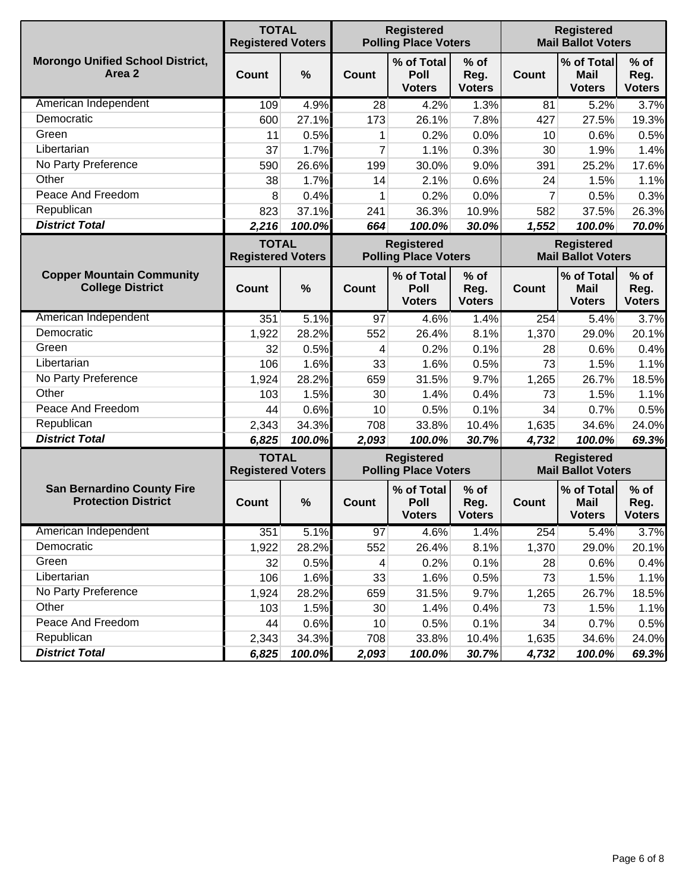|                                                                 | <b>TOTAL</b><br><b>Registered Voters</b> |        |                | <b>Registered</b><br><b>Polling Place Voters</b> |                                 | <b>Registered</b><br><b>Mail Ballot Voters</b> |                                                |                                 |
|-----------------------------------------------------------------|------------------------------------------|--------|----------------|--------------------------------------------------|---------------------------------|------------------------------------------------|------------------------------------------------|---------------------------------|
| <b>Morongo Unified School District,</b><br>Area 2               | <b>Count</b>                             | %      | Count          | % of Total<br>Poll<br><b>Voters</b>              | $%$ of<br>Reg.<br><b>Voters</b> | <b>Count</b>                                   | % of Total<br><b>Mail</b><br><b>Voters</b>     | $%$ of<br>Reg.<br><b>Voters</b> |
| American Independent                                            | 109                                      | 4.9%   | 28             | 4.2%                                             | 1.3%                            | 81                                             | 5.2%                                           | 3.7%                            |
| Democratic                                                      | 600                                      | 27.1%  | 173            | 26.1%                                            | 7.8%                            | 427                                            | 27.5%                                          | 19.3%                           |
| Green                                                           | 11                                       | 0.5%   | 1              | 0.2%                                             | 0.0%                            | 10                                             | 0.6%                                           | 0.5%                            |
| Libertarian                                                     | 37                                       | 1.7%   | $\overline{7}$ | 1.1%                                             | 0.3%                            | 30                                             | 1.9%                                           | 1.4%                            |
| No Party Preference                                             | 590                                      | 26.6%  | 199            | 30.0%                                            | 9.0%                            | 391                                            | 25.2%                                          | 17.6%                           |
| Other                                                           | 38                                       | 1.7%   | 14             | 2.1%                                             | 0.6%                            | 24                                             | 1.5%                                           | 1.1%                            |
| Peace And Freedom                                               | 8                                        | 0.4%   | 1              | 0.2%                                             | 0.0%                            | $\overline{7}$                                 | 0.5%                                           | 0.3%                            |
| Republican                                                      | 823                                      | 37.1%  | 241            | 36.3%                                            | 10.9%                           | 582                                            | 37.5%                                          | 26.3%                           |
| <b>District Total</b>                                           | 2,216                                    | 100.0% | 664            | 100.0%                                           | 30.0%                           | 1,552                                          | 100.0%                                         | 70.0%                           |
|                                                                 | <b>TOTAL</b><br><b>Registered Voters</b> |        |                | <b>Registered</b><br><b>Polling Place Voters</b> |                                 | <b>Registered</b><br><b>Mail Ballot Voters</b> |                                                |                                 |
| <b>Copper Mountain Community</b><br><b>College District</b>     | <b>Count</b>                             | %      | Count          | % of Total<br>Poll<br><b>Voters</b>              | $%$ of<br>Reg.<br><b>Voters</b> | Count                                          | % of Total<br><b>Mail</b><br><b>Voters</b>     | $%$ of<br>Reg.<br><b>Voters</b> |
| American Independent                                            | 351                                      | 5.1%   | 97             | 4.6%                                             | 1.4%                            | 254                                            | 5.4%                                           | 3.7%                            |
| Democratic                                                      | 1,922                                    | 28.2%  | 552            | 26.4%                                            | 8.1%                            | 1,370                                          | 29.0%                                          | 20.1%                           |
| Green                                                           | 32                                       | 0.5%   | 4              | 0.2%                                             | 0.1%                            | 28                                             | 0.6%                                           | 0.4%                            |
| Libertarian                                                     | 106                                      | 1.6%   | 33             | 1.6%                                             | 0.5%                            | 73                                             | 1.5%                                           | 1.1%                            |
| No Party Preference                                             | 1,924                                    | 28.2%  | 659            | 31.5%                                            | 9.7%                            | 1,265                                          | 26.7%                                          | 18.5%                           |
| Other                                                           | 103                                      | 1.5%   | 30             | 1.4%                                             | 0.4%                            | 73                                             | 1.5%                                           | 1.1%                            |
| Peace And Freedom                                               | 44                                       | 0.6%   | 10             | 0.5%                                             | 0.1%                            | 34                                             | 0.7%                                           | 0.5%                            |
| Republican                                                      | 2,343                                    | 34.3%  | 708            | 33.8%                                            | 10.4%                           | 1,635                                          | 34.6%                                          | 24.0%                           |
| <b>District Total</b>                                           | 6,825                                    | 100.0% | 2,093          | 100.0%                                           | 30.7%                           | 4,732                                          | 100.0%                                         | 69.3%                           |
|                                                                 | <b>TOTAL</b><br><b>Registered Voters</b> |        |                | <b>Registered</b><br><b>Polling Place Voters</b> |                                 |                                                | <b>Registered</b><br><b>Mail Ballot Voters</b> |                                 |
| <b>San Bernardino County Fire</b><br><b>Protection District</b> | <b>Count</b>                             | %      | <b>Count</b>   | % of Total<br>Poll<br><b>Voters</b>              | $%$ of<br>Reg.<br><b>Voters</b> | Count                                          | % of Total<br><b>Mail</b><br><b>Voters</b>     | $%$ of<br>Reg.<br><b>Voters</b> |
| American Independent                                            | 351                                      | 5.1%   | 97             | 4.6%                                             | 1.4%                            | 254                                            | 5.4%                                           | 3.7%                            |
| Democratic                                                      | 1,922                                    | 28.2%  | 552            | 26.4%                                            | 8.1%                            | 1,370                                          | 29.0%                                          | 20.1%                           |
| Green                                                           | 32                                       | 0.5%   | 4              | 0.2%                                             | 0.1%                            | 28                                             | 0.6%                                           | 0.4%                            |
| Libertarian                                                     | 106                                      | 1.6%   | 33             | 1.6%                                             | 0.5%                            | 73                                             | 1.5%                                           | 1.1%                            |
| No Party Preference                                             | 1,924                                    | 28.2%  | 659            | 31.5%                                            | 9.7%                            | 1,265                                          | 26.7%                                          | 18.5%                           |
| Other                                                           | 103                                      | 1.5%   | 30             | 1.4%                                             | 0.4%                            | 73                                             | 1.5%                                           | 1.1%                            |
| Peace And Freedom                                               | 44                                       | 0.6%   | 10             | 0.5%                                             | 0.1%                            | 34                                             | 0.7%                                           | 0.5%                            |
| Republican                                                      | 2,343                                    | 34.3%  | 708            | 33.8%                                            | 10.4%                           | 1,635                                          | 34.6%                                          | 24.0%                           |
| <b>District Total</b>                                           | 6,825                                    | 100.0% | 2,093          | 100.0%                                           | 30.7%                           | 4,732                                          | 100.0%                                         | 69.3%                           |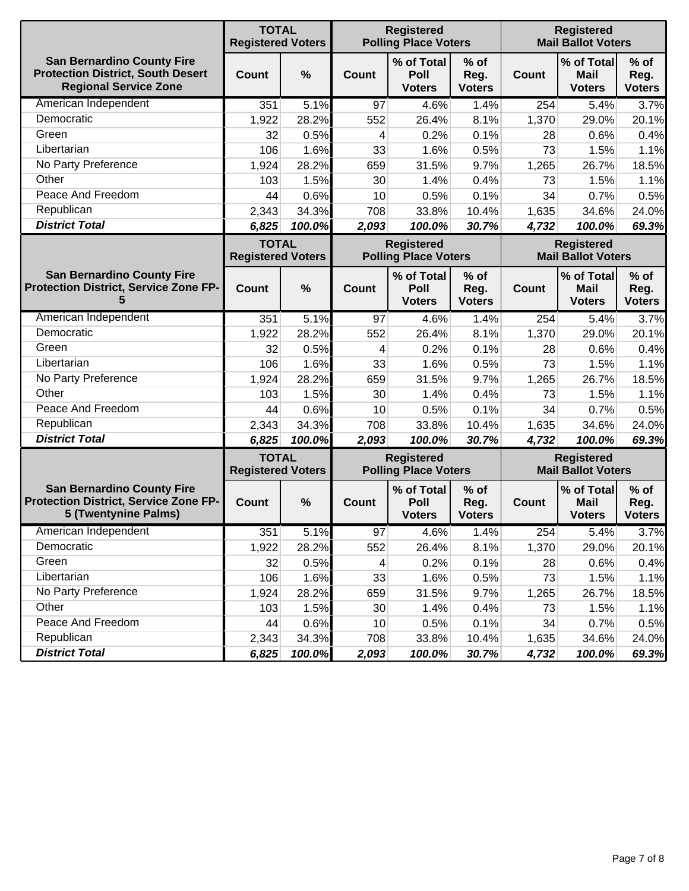|                                                                                                               | <b>TOTAL</b><br><b>Registered Voters</b> |        |                | <b>Registered</b><br><b>Polling Place Voters</b> |                                 | <b>Registered</b><br><b>Mail Ballot Voters</b> |                                            |                                 |
|---------------------------------------------------------------------------------------------------------------|------------------------------------------|--------|----------------|--------------------------------------------------|---------------------------------|------------------------------------------------|--------------------------------------------|---------------------------------|
| <b>San Bernardino County Fire</b><br><b>Protection District, South Desert</b><br><b>Regional Service Zone</b> | <b>Count</b>                             | $\%$   | Count          | % of Total<br>Poll<br><b>Voters</b>              | $%$ of<br>Reg.<br><b>Voters</b> | <b>Count</b>                                   | % of Total<br><b>Mail</b><br><b>Voters</b> | $%$ of<br>Reg.<br><b>Voters</b> |
| American Independent                                                                                          | 351                                      | 5.1%   | 97             | 4.6%                                             | 1.4%                            | 254                                            | 5.4%                                       | 3.7%                            |
| Democratic                                                                                                    | 1,922                                    | 28.2%  | 552            | 26.4%                                            | 8.1%                            | 1,370                                          | 29.0%                                      | 20.1%                           |
| Green                                                                                                         | 32                                       | 0.5%   | 4              | 0.2%                                             | 0.1%                            | 28                                             | 0.6%                                       | 0.4%                            |
| Libertarian                                                                                                   | 106                                      | 1.6%   | 33             | 1.6%                                             | 0.5%                            | 73                                             | 1.5%                                       | 1.1%                            |
| No Party Preference                                                                                           | 1,924                                    | 28.2%  | 659            | 31.5%                                            | 9.7%                            | 1,265                                          | 26.7%                                      | 18.5%                           |
| Other                                                                                                         | 103                                      | 1.5%   | 30             | 1.4%                                             | 0.4%                            | 73                                             | 1.5%                                       | 1.1%                            |
| Peace And Freedom                                                                                             | 44                                       | 0.6%   | 10             | 0.5%                                             | 0.1%                            | 34                                             | 0.7%                                       | 0.5%                            |
| Republican                                                                                                    | 2,343                                    | 34.3%  | 708            | 33.8%                                            | 10.4%                           | 1,635                                          | 34.6%                                      | 24.0%                           |
| <b>District Total</b>                                                                                         | 6,825                                    | 100.0% | 2,093          | 100.0%                                           | 30.7%                           | 4,732                                          | 100.0%                                     | 69.3%                           |
|                                                                                                               | <b>TOTAL</b><br><b>Registered Voters</b> |        |                | <b>Registered</b><br><b>Polling Place Voters</b> |                                 | <b>Registered</b><br><b>Mail Ballot Voters</b> |                                            |                                 |
| <b>San Bernardino County Fire</b><br><b>Protection District, Service Zone FP-</b><br>5                        | <b>Count</b>                             | %      | Count          | % of Total<br>Poll<br><b>Voters</b>              | $%$ of<br>Reg.<br><b>Voters</b> | <b>Count</b>                                   | % of Total<br><b>Mail</b><br><b>Voters</b> | $%$ of<br>Reg.<br><b>Voters</b> |
| American Independent                                                                                          | 351                                      | 5.1%   | 97             | 4.6%                                             | 1.4%                            | 254                                            | 5.4%                                       | 3.7%                            |
| Democratic                                                                                                    | 1,922                                    | 28.2%  | 552            | 26.4%                                            | 8.1%                            | 1,370                                          | 29.0%                                      | 20.1%                           |
| Green                                                                                                         | 32                                       | 0.5%   | 4              | 0.2%                                             | 0.1%                            | 28                                             | 0.6%                                       | 0.4%                            |
| Libertarian                                                                                                   | 106                                      | 1.6%   | 33             | 1.6%                                             | 0.5%                            | 73                                             | 1.5%                                       | 1.1%                            |
| No Party Preference                                                                                           | 1,924                                    | 28.2%  | 659            | 31.5%                                            | 9.7%                            | 1,265                                          | 26.7%                                      | 18.5%                           |
| Other                                                                                                         | 103                                      | 1.5%   | 30             | 1.4%                                             | 0.4%                            | 73                                             | 1.5%                                       | 1.1%                            |
| Peace And Freedom                                                                                             | 44                                       | 0.6%   | 10             | 0.5%                                             | 0.1%                            | 34                                             | 0.7%                                       | 0.5%                            |
| Republican                                                                                                    | 2,343                                    | 34.3%  | 708            | 33.8%                                            | 10.4%                           | 1,635                                          | 34.6%                                      | 24.0%                           |
| <b>District Total</b>                                                                                         | 6,825                                    | 100.0% | 2,093          | 100.0%                                           | 30.7%                           | 4,732                                          | 100.0%                                     | 69.3%                           |
|                                                                                                               | <b>TOTAL</b><br><b>Registered Voters</b> |        |                | <b>Registered</b><br><b>Polling Place Voters</b> |                                 | <b>Registered</b><br><b>Mail Ballot Voters</b> |                                            |                                 |
| <b>San Bernardino County Fire</b><br><b>Protection District, Service Zone FP-</b><br>5 (Twentynine Palms)     | Count                                    | $\%$   | <b>Count</b>   | % of Total<br>Poll<br><b>Voters</b>              | $%$ of<br>Reg.<br><b>Voters</b> | Count                                          | % of Total<br>Mail<br><b>Voters</b>        | $%$ of<br>Reg.<br><b>Voters</b> |
| American Independent                                                                                          | 351                                      | 5.1%   | 97             | 4.6%                                             | 1.4%                            | 254                                            | 5.4%                                       | 3.7%                            |
| Democratic                                                                                                    | 1,922                                    | 28.2%  | 552            | 26.4%                                            | 8.1%                            | 1,370                                          | 29.0%                                      | 20.1%                           |
| Green                                                                                                         | 32                                       | 0.5%   | $\overline{4}$ | 0.2%                                             | 0.1%                            | 28                                             | 0.6%                                       | 0.4%                            |
| Libertarian                                                                                                   | 106                                      | 1.6%   | 33             | 1.6%                                             | 0.5%                            | 73                                             | 1.5%                                       | 1.1%                            |
| No Party Preference                                                                                           | 1,924                                    | 28.2%  | 659            | 31.5%                                            | 9.7%                            | 1,265                                          | 26.7%                                      | 18.5%                           |
| Other                                                                                                         | 103                                      | 1.5%   | 30             | 1.4%                                             | 0.4%                            | 73                                             | 1.5%                                       | 1.1%                            |
| Peace And Freedom                                                                                             | 44                                       | 0.6%   | 10             | 0.5%                                             | 0.1%                            | 34                                             | 0.7%                                       | 0.5%                            |
| Republican                                                                                                    | 2,343                                    | 34.3%  | 708            | 33.8%                                            | 10.4%                           | 1,635                                          | 34.6%                                      | 24.0%                           |
| <b>District Total</b>                                                                                         | 6,825                                    | 100.0% | 2,093          | 100.0%                                           | 30.7%                           | 4,732                                          | 100.0%                                     | 69.3%                           |